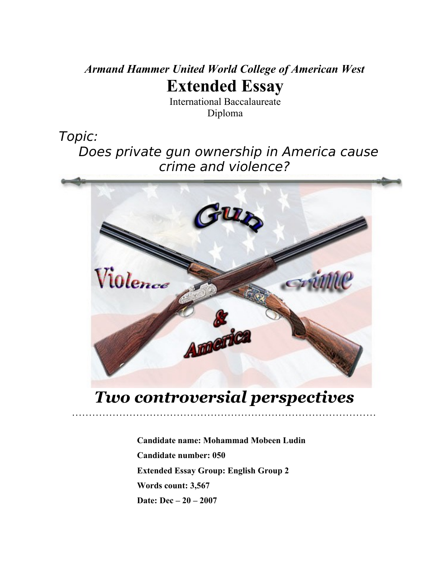# *Armand Hammer United World College of American West* **Extended Essay**

International Baccalaureate Diploma

Topic:

 Does private gun ownership in America cause crime and violence?



# *Two controversial perspectives*

………………………………………………………………………………

**Candidate name: Mohammad Mobeen Ludin Candidate number: 050 Extended Essay Group: English Group 2 Words count: 3,567 Date: Dec – 20 – 2007**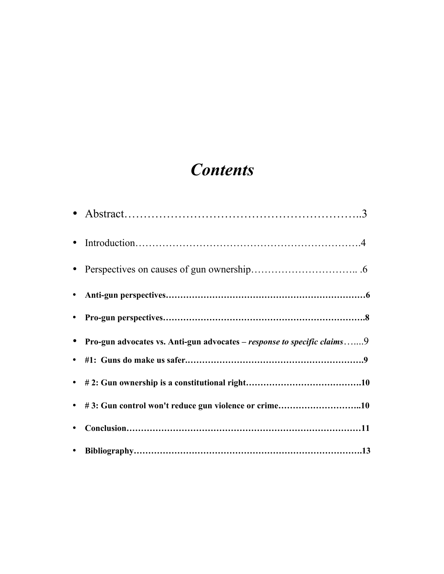# *Contents*

|           | • Pro-gun advocates vs. Anti-gun advocates – response to specific claims9 |
|-----------|---------------------------------------------------------------------------|
|           |                                                                           |
|           |                                                                           |
|           | • #3: Gun control won't reduce gun violence or crime10                    |
| $\bullet$ |                                                                           |
|           |                                                                           |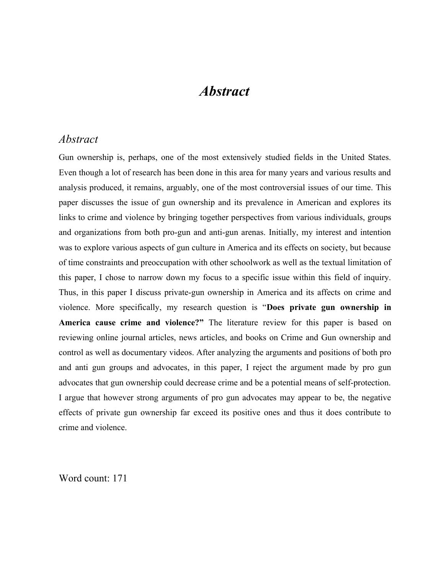# *Abstract*

### *Abstract*

Gun ownership is, perhaps, one of the most extensively studied fields in the United States. Even though a lot of research has been done in this area for many years and various results and analysis produced, it remains, arguably, one of the most controversial issues of our time. This paper discusses the issue of gun ownership and its prevalence in American and explores its links to crime and violence by bringing together perspectives from various individuals, groups and organizations from both pro-gun and anti-gun arenas. Initially, my interest and intention was to explore various aspects of gun culture in America and its effects on society, but because of time constraints and preoccupation with other schoolwork as well as the textual limitation of this paper, I chose to narrow down my focus to a specific issue within this field of inquiry. Thus, in this paper I discuss private-gun ownership in America and its affects on crime and violence. More specifically, my research question is "**Does private gun ownership in America cause crime and violence?"** The literature review for this paper is based on reviewing online journal articles, news articles, and books on Crime and Gun ownership and control as well as documentary videos. After analyzing the arguments and positions of both pro and anti gun groups and advocates, in this paper, I reject the argument made by pro gun advocates that gun ownership could decrease crime and be a potential means of self-protection. I argue that however strong arguments of pro gun advocates may appear to be, the negative effects of private gun ownership far exceed its positive ones and thus it does contribute to crime and violence.

Word count: 171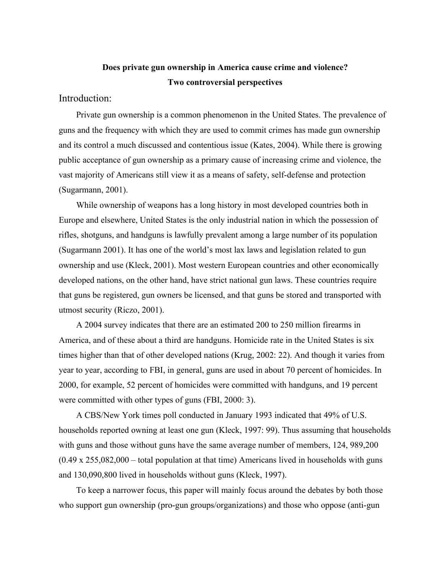## **Does private gun ownership in America cause crime and violence? Two controversial perspectives**

#### Introduction:

 Private gun ownership is a common phenomenon in the United States. The prevalence of guns and the frequency with which they are used to commit crimes has made gun ownership and its control a much discussed and contentious issue (Kates, 2004). While there is growing public acceptance of gun ownership as a primary cause of increasing crime and violence, the vast majority of Americans still view it as a means of safety, self-defense and protection (Sugarmann, 2001).

 While ownership of weapons has a long history in most developed countries both in Europe and elsewhere, United States is the only industrial nation in which the possession of rifles, shotguns, and handguns is lawfully prevalent among a large number of its population (Sugarmann 2001). It has one of the world's most lax laws and legislation related to gun ownership and use (Kleck, 2001). Most western European countries and other economically developed nations, on the other hand, have strict national gun laws. These countries require that guns be registered, gun owners be licensed, and that guns be stored and transported with utmost security (Riczo, 2001).

 A 2004 survey indicates that there are an estimated 200 to 250 million firearms in America, and of these about a third are handguns. Homicide rate in the United States is six times higher than that of other developed nations (Krug, 2002: 22). And though it varies from year to year, according to FBI, in general, guns are used in about 70 percent of homicides. In 2000, for example, 52 percent of homicides were committed with handguns, and 19 percent were committed with other types of guns (FBI, 2000: 3).

 A CBS/New York times poll conducted in January 1993 indicated that 49% of U.S. households reported owning at least one gun (Kleck, 1997: 99). Thus assuming that households with guns and those without guns have the same average number of members, 124, 989,200 (0.49 x 255,082,000 – total population at that time) Americans lived in households with guns and 130,090,800 lived in households without guns (Kleck, 1997).

 To keep a narrower focus, this paper will mainly focus around the debates by both those who support gun ownership (pro-gun groups/organizations) and those who oppose (anti-gun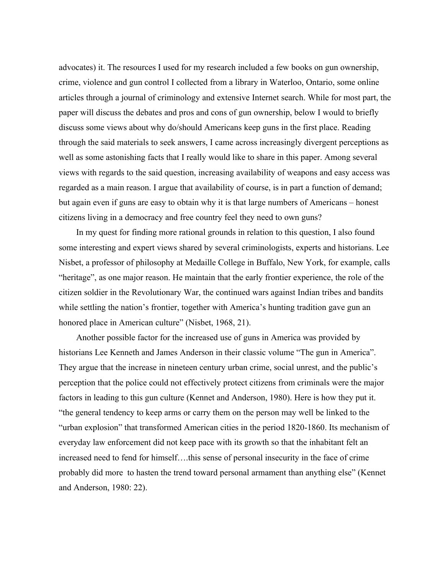advocates) it. The resources I used for my research included a few books on gun ownership, crime, violence and gun control I collected from a library in Waterloo, Ontario, some online articles through a journal of criminology and extensive Internet search. While for most part, the paper will discuss the debates and pros and cons of gun ownership, below I would to briefly discuss some views about why do/should Americans keep guns in the first place. Reading through the said materials to seek answers, I came across increasingly divergent perceptions as well as some astonishing facts that I really would like to share in this paper. Among several views with regards to the said question, increasing availability of weapons and easy access was regarded as a main reason. I argue that availability of course, is in part a function of demand; but again even if guns are easy to obtain why it is that large numbers of Americans – honest citizens living in a democracy and free country feel they need to own guns?

 In my quest for finding more rational grounds in relation to this question, I also found some interesting and expert views shared by several criminologists, experts and historians. Lee Nisbet, a professor of philosophy at Medaille College in Buffalo, New York, for example, calls "heritage", as one major reason. He maintain that the early frontier experience, the role of the citizen soldier in the Revolutionary War, the continued wars against Indian tribes and bandits while settling the nation's frontier, together with America's hunting tradition gave gun an honored place in American culture" (Nisbet, 1968, 21).

 Another possible factor for the increased use of guns in America was provided by historians Lee Kenneth and James Anderson in their classic volume "The gun in America". They argue that the increase in nineteen century urban crime, social unrest, and the public's perception that the police could not effectively protect citizens from criminals were the major factors in leading to this gun culture (Kennet and Anderson, 1980). Here is how they put it. "the general tendency to keep arms or carry them on the person may well be linked to the "urban explosion" that transformed American cities in the period 1820-1860. Its mechanism of everyday law enforcement did not keep pace with its growth so that the inhabitant felt an increased need to fend for himself….this sense of personal insecurity in the face of crime probably did more to hasten the trend toward personal armament than anything else" (Kennet and Anderson, 1980: 22).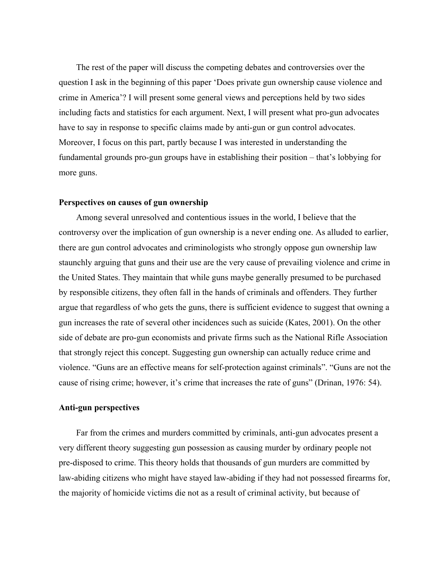The rest of the paper will discuss the competing debates and controversies over the question I ask in the beginning of this paper 'Does private gun ownership cause violence and crime in America'? I will present some general views and perceptions held by two sides including facts and statistics for each argument. Next, I will present what pro-gun advocates have to say in response to specific claims made by anti-gun or gun control advocates. Moreover, I focus on this part, partly because I was interested in understanding the fundamental grounds pro-gun groups have in establishing their position – that's lobbying for more guns.

#### **Perspectives on causes of gun ownership**

 Among several unresolved and contentious issues in the world, I believe that the controversy over the implication of gun ownership is a never ending one. As alluded to earlier, there are gun control advocates and criminologists who strongly oppose gun ownership law staunchly arguing that guns and their use are the very cause of prevailing violence and crime in the United States. They maintain that while guns maybe generally presumed to be purchased by responsible citizens, they often fall in the hands of criminals and offenders. They further argue that regardless of who gets the guns, there is sufficient evidence to suggest that owning a gun increases the rate of several other incidences such as suicide (Kates, 2001). On the other side of debate are pro-gun economists and private firms such as the National Rifle Association that strongly reject this concept. Suggesting gun ownership can actually reduce crime and violence. "Guns are an effective means for self-protection against criminals". "Guns are not the cause of rising crime; however, it's crime that increases the rate of guns" (Drinan, 1976: 54).

#### **Anti-gun perspectives**

 Far from the crimes and murders committed by criminals, anti-gun advocates present a very different theory suggesting gun possession as causing murder by ordinary people not pre-disposed to crime. This theory holds that thousands of gun murders are committed by law-abiding citizens who might have stayed law-abiding if they had not possessed firearms for, the majority of homicide victims die not as a result of criminal activity, but because of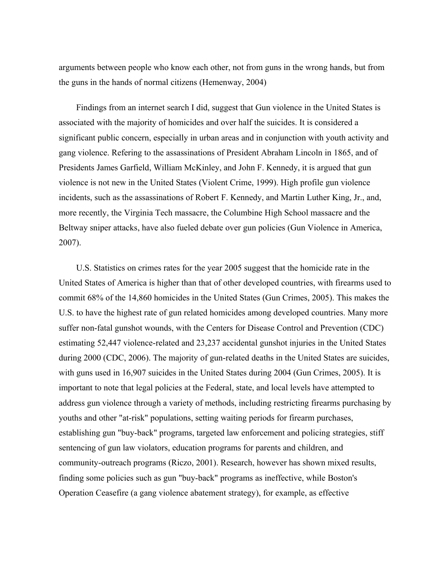arguments between people who know each other, not from guns in the wrong hands, but from the guns in the hands of normal citizens (Hemenway, 2004)

 Findings from an internet search I did, suggest that Gun violence in the United States is associated with the majority of homicides and over half the suicides. It is considered a significant public concern, especially in urban areas and in conjunction with youth activity and gang violence. Refering to the assassinations of President [Abraham Lincoln](http://en.wikipedia.org/wiki/Abraham_Lincoln) in 1865, and of Presidents [James Garfield,](http://en.wikipedia.org/wiki/James_Garfield) William McKinley, and John F. Kennedy, it is argued that gun violence is not new in the United States (Violent Crime, 1999). High profile gun violence incidents, such as the assassinations of Robert F. Kennedy, and Martin Luther King, Jr., and, more recently, the Virginia Tech massacre, the Columbine High School massacre and the Beltway sniper attacks, have also fueled debate over gun policies (Gun Violence in America, 2007).

 U.S. Statistics on crimes rates for the year 2005 suggest that the homicide rate in the United States of America is higher than that of other [developed countries,](http://en.wikipedia.org/wiki/Developed_countries) with firearms used to commit 68% of the 14,860 homicides in the [United States](http://en.wikipedia.org/wiki/United_States) (Gun Crimes, 2005). This makes the U.S. to have the highest rate of gun related homicides among developed countries. Many more suffer non-fatal gunshot wounds, with the Centers for Disease Control and Prevention (CDC) estimating 52,447 violence-related and 23,237 accidental gunshot injuries in the United States during 2000 (CDC, 2006). The majority of gun-related deaths in the United States are suicides, with guns used in 16,907 suicides in the United States during 2004 (Gun Crimes, 2005). It is important to note that legal policies at the Federal, state, and local levels have attempted to address gun violence through a variety of methods, including restricting firearms purchasing by youths and other "at-risk" populations, setting waiting periods for firearm purchases, establishing gun "buy-back" programs, targeted law enforcement and policing strategies, stiff sentencing of gun law violators, education programs for [parents](http://en.wikipedia.org/wiki/Parent) and children, and community-outreach programs (Riczo, 2001). Research, however has shown mixed results, finding some policies such as gun "buy-back" programs as ineffective, while Boston's Operation Ceasefire (a gang violence abatement strategy), for example, as effective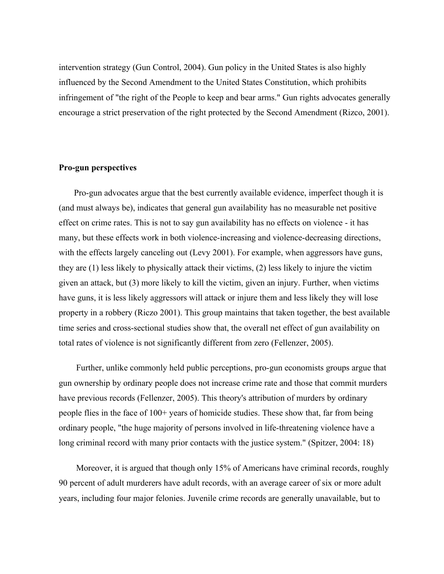intervention strategy (Gun Control, 2004). Gun policy in the United States is also highly influenced by the Second Amendment to the United States Constitution, which prohibits infringement of "the right of the People to keep and bear arms." Gun rights advocates generally encourage a strict preservation of the right protected by the Second Amendment (Rizco, 2001).

#### **Pro-gun perspectives**

 Pro-gun advocates argue that the best currently available evidence, imperfect though it is (and must always be), indicates that general gun availability has no measurable net positive effect on crime rates. This is not to say gun availability has no effects on violence - it has many, but these effects work in both violence-increasing and violence-decreasing directions, with the effects largely canceling out (Levy 2001). For example, when aggressors have guns, they are (1) less likely to physically attack their victims, (2) less likely to injure the victim given an attack, but (3) more likely to kill the victim, given an injury. Further, when victims have guns, it is less likely aggressors will attack or injure them and less likely they will lose property in a robbery (Riczo 2001). This group maintains that taken together, the best available time series and cross-sectional studies show that, the overall net effect of gun availability on total rates of violence is not significantly different from zero (Fellenzer, 2005).

 Further, unlike commonly held public perceptions, pro-gun economists groups argue that gun ownership by ordinary people does not increase crime rate and those that commit murders have previous records (Fellenzer, 2005). This theory's attribution of murders by ordinary people flies in the face of 100+ years of homicide studies. These show that, far from being ordinary people, "the huge majority of persons involved in life-threatening violence have a long criminal record with many prior contacts with the justice system." (Spitzer, 2004: 18)

 Moreover, it is argued that though only 15% of Americans have criminal records, roughly 90 percent of adult murderers have adult records, with an average career of six or more adult years, including four major felonies. Juvenile crime records are generally unavailable, but to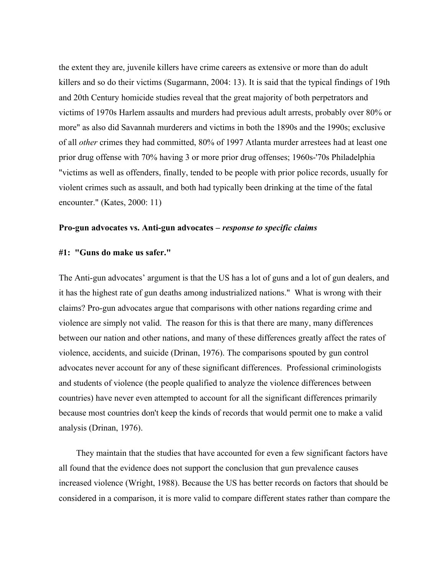the extent they are, juvenile killers have crime careers as extensive or more than do adult killers and so do their victims (Sugarmann, 2004: 13). It is said that the typical findings of 19th and 20th Century homicide studies reveal that the great majority of both perpetrators and victims of 1970s Harlem assaults and murders had previous adult arrests, probably over 80% or more" as also did Savannah murderers and victims in both the 1890s and the 1990s; exclusive of all *other* crimes they had committed, 80% of 1997 Atlanta murder arrestees had at least one prior drug offense with 70% having 3 or more prior drug offenses; 1960s-'70s Philadelphia "victims as well as offenders, finally, tended to be people with prior police records, usually for violent crimes such as assault, and both had typically been drinking at the time of the fatal encounter." (Kates, 2000: 11)

#### **Pro-gun advocates vs. Anti-gun advocates –** *response to specific claims*

### **#1: "Guns do make us safer."**

The Anti-gun advocates' argument is that the US has a lot of guns and a lot of gun dealers, and it has the highest rate of gun deaths among industrialized nations." What is wrong with their claims? Pro-gun advocates argue that comparisons with other nations regarding crime and violence are simply not valid. The reason for this is that there are many, many differences between our nation and other nations, and many of these differences greatly affect the rates of violence, accidents, and suicide (Drinan, 1976). The comparisons spouted by gun control advocates never account for any of these significant differences. Professional criminologists and students of violence (the people qualified to analyze the violence differences between countries) have never even attempted to account for all the significant differences primarily because most countries don't keep the kinds of records that would permit one to make a valid analysis (Drinan, 1976).

 They maintain that the studies that have accounted for even a few significant factors have all found that the evidence does not support the conclusion that gun prevalence causes increased violence (Wright, 1988). Because the US has better records on factors that should be considered in a comparison, it is more valid to compare different states rather than compare the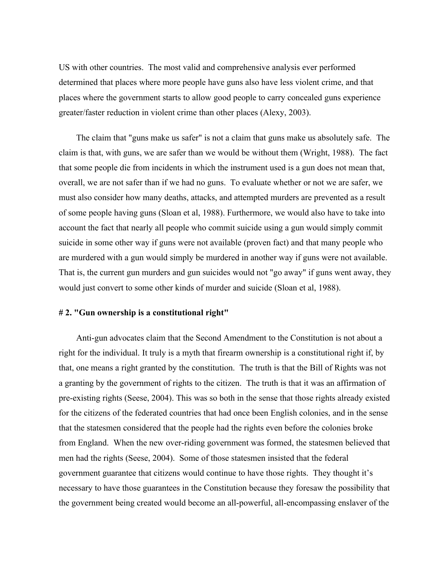US with other countries. The most valid and comprehensive analysis ever performed determined that places where more people have guns also have less violent crime, and that places where the government starts to allow good people to carry concealed guns experience greater/faster reduction in violent crime than other places (Alexy, 2003).

 The claim that "guns make us safer" is not a claim that guns make us absolutely safe. The claim is that, with guns, we are safer than we would be without them (Wright, 1988). The fact that some people die from incidents in which the instrument used is a gun does not mean that, overall, we are not safer than if we had no guns. To evaluate whether or not we are safer, we must also consider how many deaths, attacks, and attempted murders are prevented as a result of some people having guns (Sloan et al, 1988). Furthermore, we would also have to take into account the fact that nearly all people who commit suicide using a gun would simply commit suicide in some other way if guns were not available (proven fact) and that many people who are murdered with a gun would simply be murdered in another way if guns were not available. That is, the current gun murders and gun suicides would not "go away" if guns went away, they would just convert to some other kinds of murder and suicide (Sloan et al, 1988).

#### **# 2. "Gun ownership is a constitutional right"**

 Anti-gun advocates claim that the Second Amendment to the Constitution is not about a right for the individual. It truly is a myth that firearm ownership is a constitutional right if, by that, one means a right granted by the constitution. The truth is that the Bill of Rights was not a granting by the government of rights to the citizen. The truth is that it was an affirmation of pre-existing rights (Seese, 2004). This was so both in the sense that those rights already existed for the citizens of the federated countries that had once been English colonies, and in the sense that the statesmen considered that the people had the rights even before the colonies broke from England. When the new over-riding government was formed, the statesmen believed that men had the rights (Seese, 2004). Some of those statesmen insisted that the federal government guarantee that citizens would continue to have those rights. They thought it's necessary to have those guarantees in the Constitution because they foresaw the possibility that the government being created would become an all-powerful, all-encompassing enslaver of the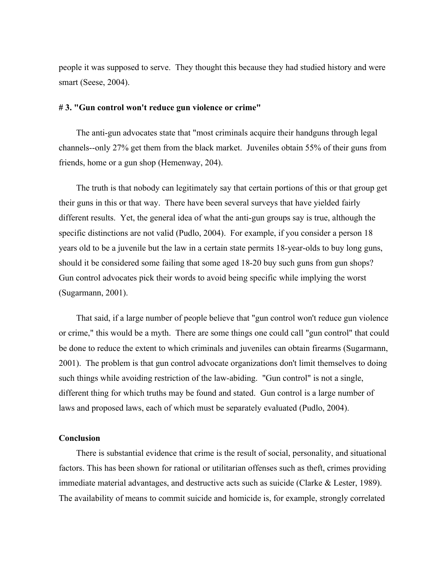people it was supposed to serve. They thought this because they had studied history and were smart (Seese, 2004).

#### **# 3. "Gun control won't reduce gun violence or crime"**

 The anti-gun advocates state that "most criminals acquire their handguns through legal channels--only 27% get them from the black market. Juveniles obtain 55% of their guns from friends, home or a gun shop (Hemenway, 204).

 The truth is that nobody can legitimately say that certain portions of this or that group get their guns in this or that way. There have been several surveys that have yielded fairly different results. Yet, the general idea of what the anti-gun groups say is true, although the specific distinctions are not valid (Pudlo, 2004). For example, if you consider a person 18 years old to be a juvenile but the law in a certain state permits 18-year-olds to buy long guns, should it be considered some failing that some aged 18-20 buy such guns from gun shops? Gun control advocates pick their words to avoid being specific while implying the worst (Sugarmann, 2001).

 That said, if a large number of people believe that "gun control won't reduce gun violence or crime," this would be a myth. There are some things one could call "gun control" that could be done to reduce the extent to which criminals and juveniles can obtain firearms (Sugarmann, 2001). The problem is that gun control advocate organizations don't limit themselves to doing such things while avoiding restriction of the law-abiding. "Gun control" is not a single, different thing for which truths may be found and stated. Gun control is a large number of laws and proposed laws, each of which must be separately evaluated (Pudlo, 2004).

#### **Conclusion**

There is substantial evidence that crime is the result of social, personality, and situational factors. This has been shown for rational or utilitarian offenses such as theft, crimes providing immediate material advantages, and destructive acts such as suicide (Clarke & Lester, 1989). The availability of means to commit suicide and homicide is, for example, strongly correlated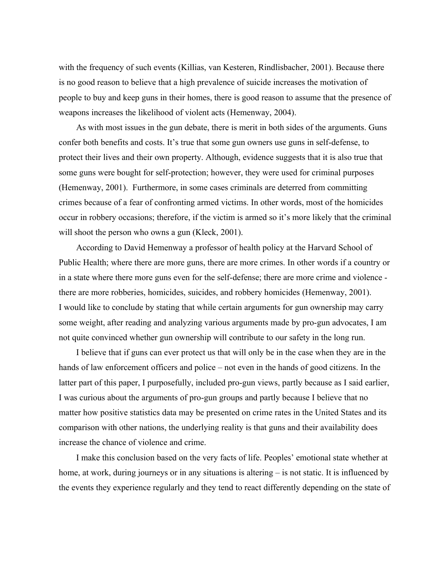with the frequency of such events (Killias, van Kesteren, Rindlisbacher, 2001). Because there is no good reason to believe that a high prevalence of suicide increases the motivation of people to buy and keep guns in their homes, there is good reason to assume that the presence of weapons increases the likelihood of violent acts (Hemenway, 2004).

 As with most issues in the gun debate, there is merit in both sides of the arguments. Guns confer both benefits and costs. It's true that some gun owners use guns in self-defense, to protect their lives and their own property. Although, evidence suggests that it is also true that some guns were bought for self-protection; however, they were used for criminal purposes (Hemenway, 2001). Furthermore, in some cases criminals are deterred from committing crimes because of a fear of confronting armed victims. In other words, most of the homicides occur in robbery occasions; therefore, if the victim is armed so it's more likely that the criminal will shoot the person who owns a gun (Kleck, 2001).

 According to David Hemenway a professor of health policy at the Harvard School of Public Health; where there are more guns, there are more crimes. In other words if a country or in a state where there more guns even for the self-defense; there are more crime and violence there are more robberies, homicides, suicides, and robbery homicides (Hemenway, 2001). I would like to conclude by stating that while certain arguments for gun ownership may carry some weight, after reading and analyzing various arguments made by pro-gun advocates, I am not quite convinced whether gun ownership will contribute to our safety in the long run.

 I believe that if guns can ever protect us that will only be in the case when they are in the hands of law enforcement officers and police – not even in the hands of good citizens. In the latter part of this paper, I purposefully, included pro-gun views, partly because as I said earlier, I was curious about the arguments of pro-gun groups and partly because I believe that no matter how positive statistics data may be presented on crime rates in the United States and its comparison with other nations, the underlying reality is that guns and their availability does increase the chance of violence and crime.

 I make this conclusion based on the very facts of life. Peoples' emotional state whether at home, at work, during journeys or in any situations is altering – is not static. It is influenced by the events they experience regularly and they tend to react differently depending on the state of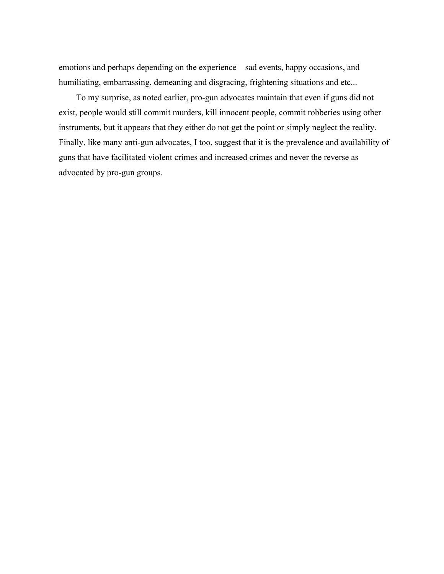emotions and perhaps depending on the experience – sad events, happy occasions, and humiliating, embarrassing, demeaning and disgracing, frightening situations and etc...

 To my surprise, as noted earlier, pro-gun advocates maintain that even if guns did not exist, people would still commit murders, kill innocent people, commit robberies using other instruments, but it appears that they either do not get the point or simply neglect the reality. Finally, like many anti-gun advocates, I too, suggest that it is the prevalence and availability of guns that have facilitated violent crimes and increased crimes and never the reverse as advocated by pro-gun groups.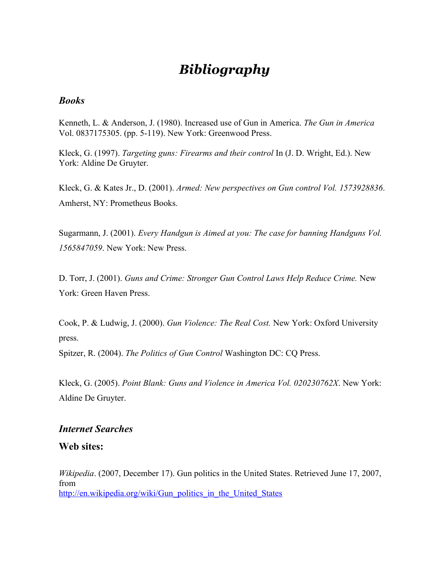# *Bibliography*

### *Books*

Kenneth, L. & Anderson, J. (1980). Increased use of Gun in America. *The Gun in America* Vol. 0837175305. (pp. 5-119). New York: Greenwood Press.

Kleck, G. (1997). *Targeting guns: Firearms and their control* In (J. D. Wright, Ed.). New York: Aldine De Gruyter.

Kleck, G. & Kates Jr., D. (2001). *Armed: New perspectives on Gun control Vol. 1573928836*. Amherst, NY: Prometheus Books.

Sugarmann, J. (2001). *Every Handgun is Aimed at you: The case for banning Handguns Vol. 1565847059*. New York: New Press.

D. Torr, J. (2001). *Guns and Crime: Stronger Gun Control Laws Help Reduce Crime.* New York: Green Haven Press.

Cook, P. & Ludwig, J. (2000). *Gun Violence: The Real Cost.* New York: Oxford University press.

Spitzer, R. (2004). *The Politics of Gun Control* Washington DC: CQ Press.

Kleck, G. (2005). *Point Blank: Guns and Violence in America Vol. 020230762X*. New York: Aldine De Gruyter.

### *Internet Searches*

**Web sites:**

*Wikipedia*. (2007, December 17). Gun politics in the United States. Retrieved June 17, 2007, from [http://en.wikipedia.org/wiki/Gun\\_politics\\_in\\_the\\_United\\_States](http://en.wikipedia.org/wiki/Gun_politics_in_the_United_States)